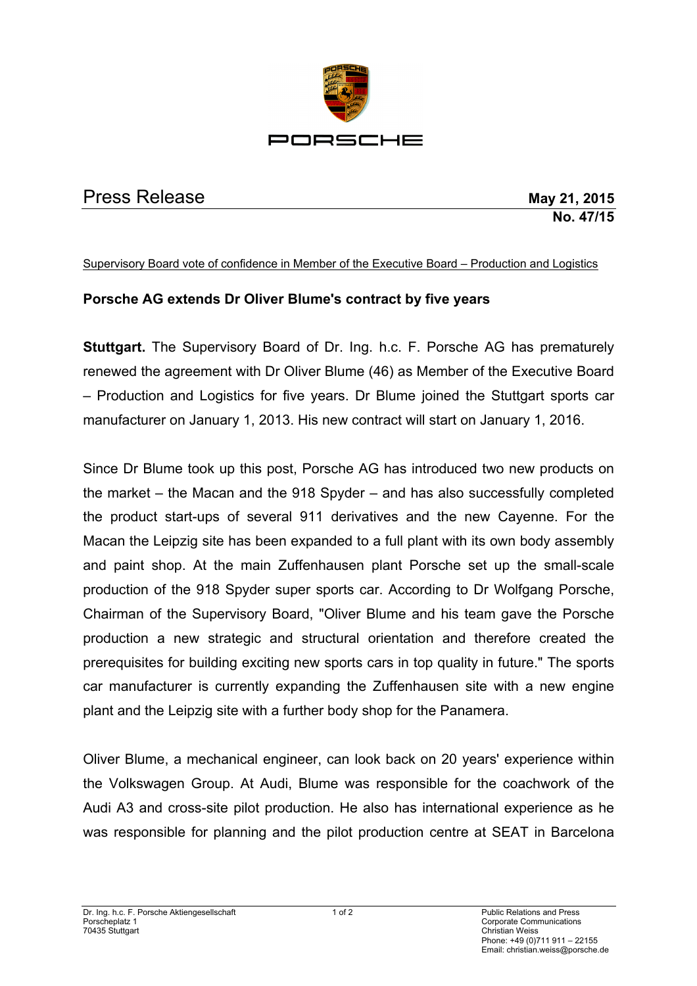

# Press Release **May 21, 2015**

# **No. 47/15**

#### Supervisory Board vote of confidence in Member of the Executive Board – Production and Logistics

## **Porsche AG extends Dr Oliver Blume's contract by five years**

**Stuttgart.** The Supervisory Board of Dr. Ing. h.c. F. Porsche AG has prematurely renewed the agreement with Dr Oliver Blume (46) as Member of the Executive Board – Production and Logistics for five years. Dr Blume joined the Stuttgart sports car manufacturer on January 1, 2013. His new contract will start on January 1, 2016.

Since Dr Blume took up this post, Porsche AG has introduced two new products on the market – the Macan and the 918 Spyder – and has also successfully completed the product start-ups of several 911 derivatives and the new Cayenne. For the Macan the Leipzig site has been expanded to a full plant with its own body assembly and paint shop. At the main Zuffenhausen plant Porsche set up the small-scale production of the 918 Spyder super sports car. According to Dr Wolfgang Porsche, Chairman of the Supervisory Board, "Oliver Blume and his team gave the Porsche production a new strategic and structural orientation and therefore created the prerequisites for building exciting new sports cars in top quality in future." The sports car manufacturer is currently expanding the Zuffenhausen site with a new engine plant and the Leipzig site with a further body shop for the Panamera.

Oliver Blume, a mechanical engineer, can look back on 20 years' experience within the Volkswagen Group. At Audi, Blume was responsible for the coachwork of the Audi A3 and cross-site pilot production. He also has international experience as he was responsible for planning and the pilot production centre at SEAT in Barcelona